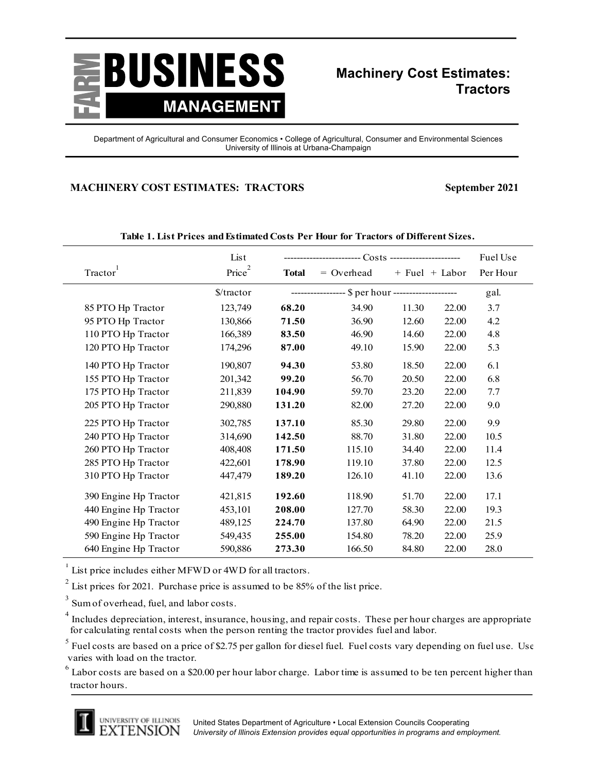

## **Machinery Cost Estimates: Tractors**

Department of Agricultural and Consumer Economics • College of Agricultural, Consumer and Environmental Sciences University of Illinois at Urbana-Champaign

## **MACHINERY COST ESTIMATES: TRACTORS September 2021**

| Tractor               | List<br>Price <sup>2</sup> | <b>Total</b> | $=$ Overhead                                      | $+$ Fuel $+$ Labor |       | Fuel Use<br>Per Hour |
|-----------------------|----------------------------|--------------|---------------------------------------------------|--------------------|-------|----------------------|
|                       | $\frac{\sqrt{3}}{2}$       |              | ---------------- \$ per hour -------------------- |                    |       | gal.                 |
| 85 PTO Hp Tractor     | 123,749                    | 68.20        | 34.90                                             | 11.30              | 22.00 | 3.7                  |
| 95 PTO Hp Tractor     | 130,866                    | 71.50        | 36.90                                             | 12.60              | 22.00 | 4.2                  |
| 110 PTO Hp Tractor    | 166,389                    | 83.50        | 46.90                                             | 14.60              | 22.00 | 4.8                  |
| 120 PTO Hp Tractor    | 174,296                    | 87.00        | 49.10                                             | 15.90              | 22.00 | 5.3                  |
| 140 PTO Hp Tractor    | 190,807                    | 94.30        | 53.80                                             | 18.50              | 22.00 | 6.1                  |
| 155 PTO Hp Tractor    | 201,342                    | 99.20        | 56.70                                             | 20.50              | 22.00 | 6.8                  |
| 175 PTO Hp Tractor    | 211,839                    | 104.90       | 59.70                                             | 23.20              | 22.00 | 7.7                  |
| 205 PTO Hp Tractor    | 290,880                    | 131.20       | 82.00                                             | 27.20              | 22.00 | 9.0                  |
| 225 PTO Hp Tractor    | 302,785                    | 137.10       | 85.30                                             | 29.80              | 22.00 | 9.9                  |
| 240 PTO Hp Tractor    | 314,690                    | 142.50       | 88.70                                             | 31.80              | 22.00 | 10.5                 |
| 260 PTO Hp Tractor    | 408,408                    | 171.50       | 115.10                                            | 34.40              | 22.00 | 11.4                 |
| 285 PTO Hp Tractor    | 422,601                    | 178.90       | 119.10                                            | 37.80              | 22.00 | 12.5                 |
| 310 PTO Hp Tractor    | 447,479                    | 189.20       | 126.10                                            | 41.10              | 22.00 | 13.6                 |
| 390 Engine Hp Tractor | 421,815                    | 192.60       | 118.90                                            | 51.70              | 22.00 | 17.1                 |
| 440 Engine Hp Tractor | 453,101                    | 208.00       | 127.70                                            | 58.30              | 22.00 | 19.3                 |
| 490 Engine Hp Tractor | 489,125                    | 224.70       | 137.80                                            | 64.90              | 22.00 | 21.5                 |
| 590 Engine Hp Tractor | 549,435                    | 255.00       | 154.80                                            | 78.20              | 22.00 | 25.9                 |
| 640 Engine Hp Tractor | 590,886                    | 273.30       | 166.50                                            | 84.80              | 22.00 | 28.0                 |

**Table 1. List Prices and Estimated Costs Per Hour for Tractors of Different Sizes.**

 $1$  List price includes either MFWD or 4WD for all tractors.

<sup>2</sup> List prices for 2021. Purchase price is assumed to be 85% of the list price.

3 Sum of overhead, fuel, and labor costs.

<sup>4</sup> Includes depreciation, interest, insurance, housing, and repair costs. These per hour charges are appropriate for calculating rental costs when the person renting the tractor provides fuel and labor.

 $^5$  Fuel costs are based on a price of \$2.75 per gallon for diesel fuel. Fuel costs vary depending on fuel use. Use varies with load on the tractor.

 $^6$  Labor costs are based on a \$20.00 per hour labor charge. Labor time is assumed to be ten percent higher than tractor hours.

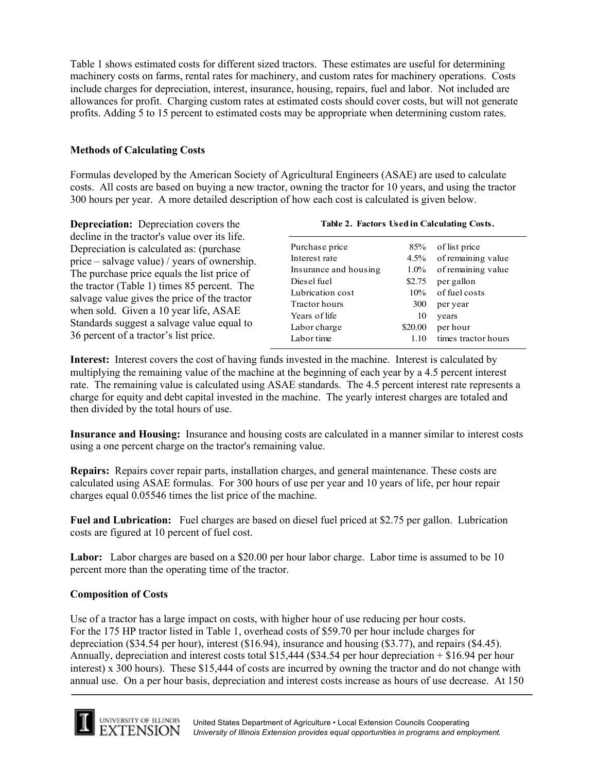Table 1 shows estimated costs for different sized tractors. These estimates are useful for determining machinery costs on farms, rental rates for machinery, and custom rates for machinery operations. Costs include charges for depreciation, interest, insurance, housing, repairs, fuel and labor. Not included are allowances for profit. Charging custom rates at estimated costs should cover costs, but will not generate profits. Adding 5 to 15 percent to estimated costs may be appropriate when determining custom rates.

## **Methods of Calculating Costs**

Formulas developed by the American Society of Agricultural Engineers (ASAE) are used to calculate costs. All costs are based on buying a new tractor, owning the tractor for 10 years, and using the tractor 300 hours per year. A more detailed description of how each cost is calculated is given below.

**Depreciation:** Depreciation covers the decline in the tractor's value over its life. Depreciation is calculated as: (purchase price – salvage value) / years of ownership. The purchase price equals the list price of the tractor (Table 1) times 85 percent. The salvage value gives the price of the tractor when sold. Given a 10 year life, ASAE Standards suggest a salvage value equal to 36 percent of a tractor's list price. Purchase price 85% of list price Interest rate 4.5% of remaining value Insurance and housing 1.0% of remaining value Diesel fuel \$2.75 per gallon Lubrication cost 10% of fuel costs Tractor hours 300 per year Years of life 10 years Labor charge \$20.00 per hour Labor time 1.10 times tractor hours **Table 2. Factors Used in Calculating Costs.**

**Interest:** Interest covers the cost of having funds invested in the machine. Interest is calculated by multiplying the remaining value of the machine at the beginning of each year by a 4.5 percent interest rate. The remaining value is calculated using ASAE standards. The 4.5 percent interest rate represents a charge for equity and debt capital invested in the machine. The yearly interest charges are totaled and then divided by the total hours of use.

**Insurance and Housing:** Insurance and housing costs are calculated in a manner similar to interest costs using a one percent charge on the tractor's remaining value.

**Repairs:** Repairs cover repair parts, installation charges, and general maintenance. These costs are calculated using ASAE formulas. For 300 hours of use per year and 10 years of life, per hour repair charges equal 0.05546 times the list price of the machine.

**Fuel and Lubrication:** Fuel charges are based on diesel fuel priced at \$2.75 per gallon. Lubrication costs are figured at 10 percent of fuel cost.

**Labor:** Labor charges are based on a \$20.00 per hour labor charge. Labor time is assumed to be 10 percent more than the operating time of the tractor.

## **Composition of Costs**

Use of a tractor has a large impact on costs, with higher hour of use reducing per hour costs. For the 175 HP tractor listed in Table 1, overhead costs of \$59.70 per hour include charges for depreciation (\$34.54 per hour), interest (\$16.94), insurance and housing (\$3.77), and repairs (\$4.45). Annually, depreciation and interest costs total \$15,444 (\$34.54 per hour depreciation + \$16.94 per hour interest) x 300 hours). These \$15,444 of costs are incurred by owning the tractor and do not change with annual use. On a per hour basis, depreciation and interest costs increase as hours of use decrease. At 150